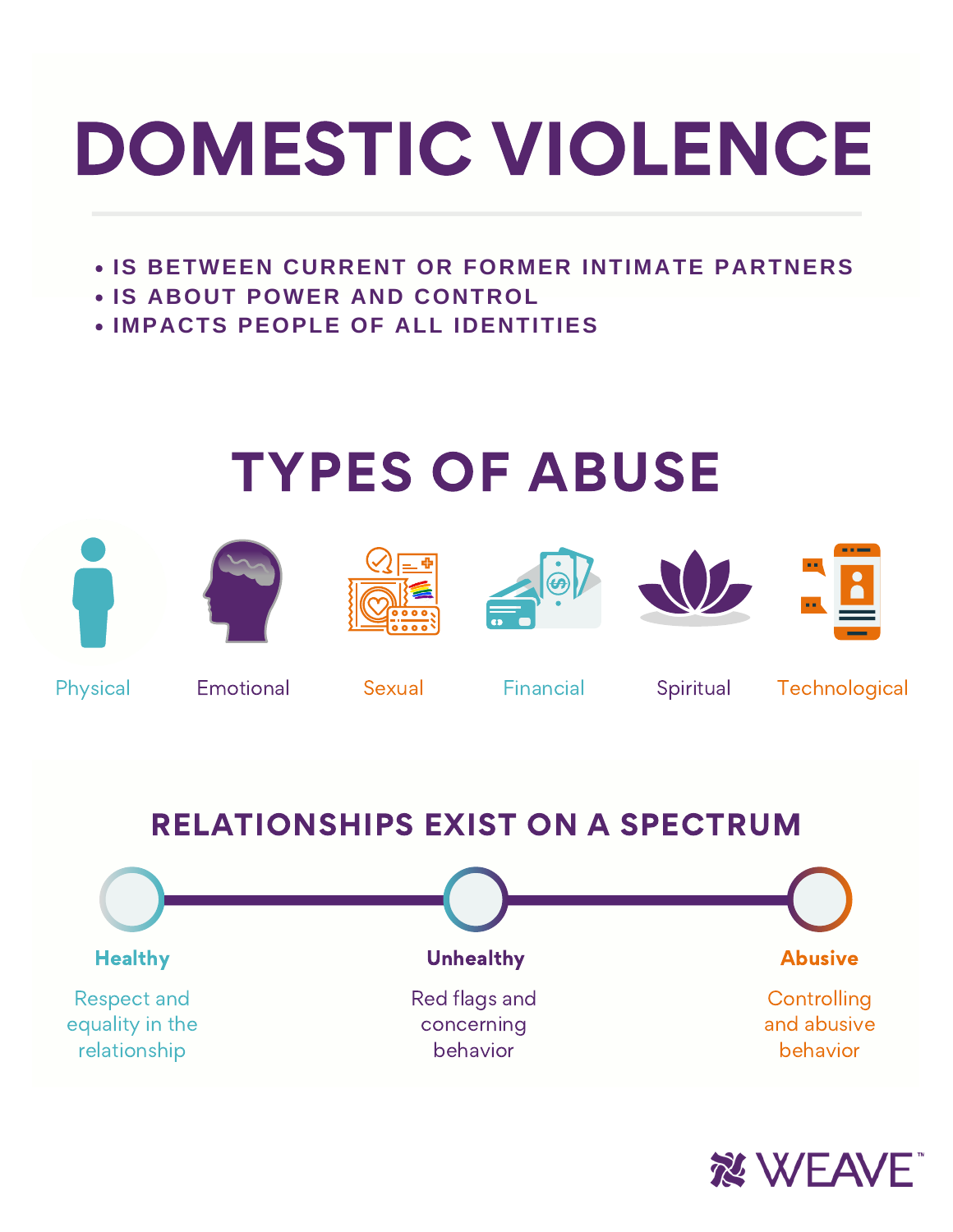# DOMESTIC VIOLENCE

- **IS BETWEEN CURRENT OR FORMER INTIMATE PARTNERS**
- **IS ABOUT POWER AND CONTROL**
- **IMPACTS PEOPLE OF ALL IDENTITIES**

### TYPES OF ABUSE













Physical Emotional Sexual Financial Spiritual Technological

### RELATIONSHIPS EXIST ON A SPECTRUM